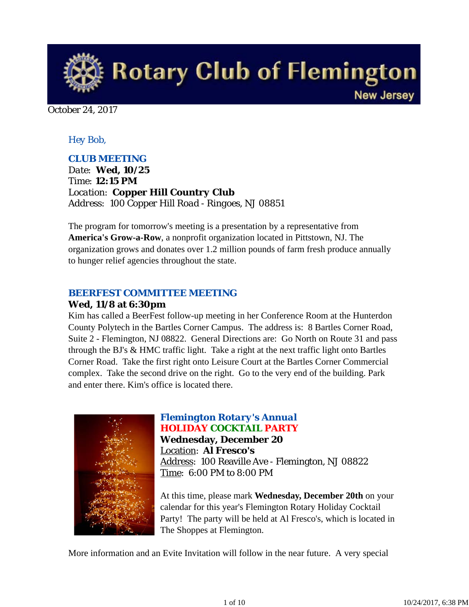

October 24, 2017

### *Hey Bob,*

### *CLUB MEETING*

*Date: Wed, 10/25 Time: 12:15 PM Location: Copper Hill Country Club Address: 100 Copper Hill Road - Ringoes, NJ 08851*

The program for tomorrow's meeting is a presentation by a representative from **America's Grow-a-Row**, a nonprofit organization located in Pittstown, NJ. The organization grows and donates over 1.2 million pounds of farm fresh produce annually to hunger relief agencies throughout the state.

### *BEERFEST COMMITTEE MEETING*

#### **Wed, 11/8 at 6:30pm**

Kim has called a BeerFest follow-up meeting in her Conference Room at the Hunterdon County Polytech in the Bartles Corner Campus. The address is: 8 Bartles Corner Road, Suite 2 - Flemington, NJ 08822. General Directions are: Go North on Route 31 and pass through the BJ's & HMC traffic light. Take a right at the next traffic light onto Bartles Corner Road. Take the first right onto Leisure Court at the Bartles Corner Commercial complex. Take the second drive on the right. Go to the very end of the building. Park and enter there. Kim's office is located there.



# *Flemington Rotary's Annual HOLIDAY COCKTAIL PARTY*

**Wednesday, December 20** Location: **Al Fresco's** Address: 100 Reaville Ave - Flemington, NJ 08822 Time: 6:00 PM to 8:00 PM

At this time, please mark **Wednesday, December 20th** on your calendar for this year's Flemington Rotary Holiday Cocktail Party! The party will be held at Al Fresco's, which is located in The Shoppes at Flemington.

More information and an Evite Invitation will follow in the near future. A very special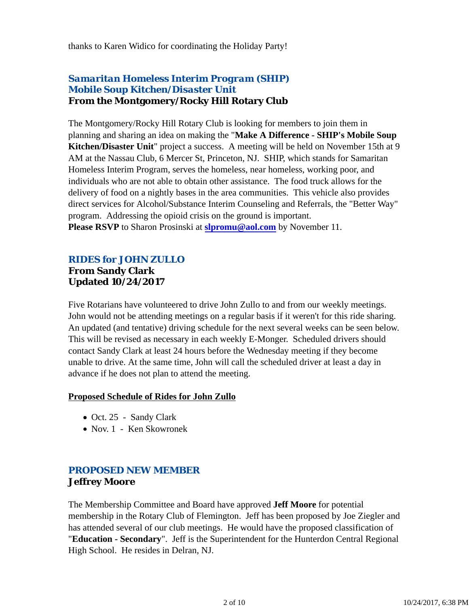thanks to Karen Widico for coordinating the Holiday Party!

# *Samaritan Homeless Interim Program (SHIP) Mobile Soup Kitchen/Disaster Unit* **From the Montgomery/Rocky Hill Rotary Club**

The Montgomery/Rocky Hill Rotary Club is looking for members to join them in planning and sharing an idea on making the "**Make A Difference - SHIP's Mobile Soup Kitchen/Disaster Unit**" project a success. A meeting will be held on November 15th at 9 AM at the Nassau Club, 6 Mercer St, Princeton, NJ. SHIP, which stands for Samaritan Homeless Interim Program, serves the homeless, near homeless, working poor, and individuals who are not able to obtain other assistance. The food truck allows for the delivery of food on a nightly bases in the area communities. This vehicle also provides direct services for Alcohol/Substance Interim Counseling and Referrals, the "Better Way" program. Addressing the opioid crisis on the ground is important. **Please RSVP** to Sharon Prosinski at **slpromu@aol.com** by November 11.

### *RIDES for JOHN ZULLO* **From Sandy Clark Updated 10/24/2017**

Five Rotarians have volunteered to drive John Zullo to and from our weekly meetings. John would not be attending meetings on a regular basis if it weren't for this ride sharing. An updated (and tentative) driving schedule for the next several weeks can be seen below. This will be revised as necessary in each weekly E-Monger. Scheduled drivers should contact Sandy Clark at least 24 hours before the Wednesday meeting if they become unable to drive. At the same time, John will call the scheduled driver at least a day in advance if he does not plan to attend the meeting.

#### **Proposed Schedule of Rides for John Zullo**

- Oct. 25 Sandy Clark
- Nov. 1 Ken Skowronek

# *PROPOSED NEW MEMBER* **Jeffrey Moore**

The Membership Committee and Board have approved **Jeff Moore** for potential membership in the Rotary Club of Flemington. Jeff has been proposed by Joe Ziegler and has attended several of our club meetings. He would have the proposed classification of "**Education - Secondary**". Jeff is the Superintendent for the Hunterdon Central Regional High School. He resides in Delran, NJ.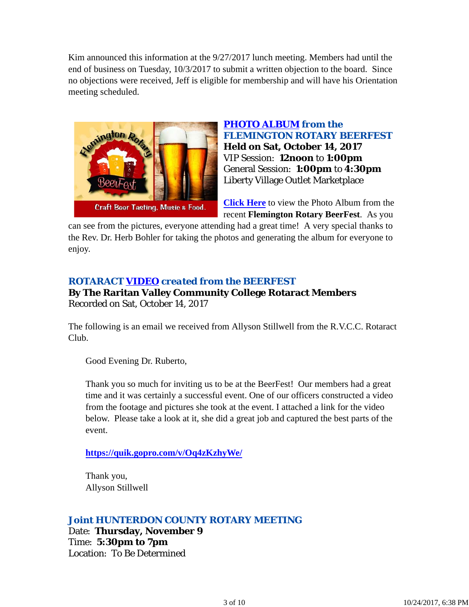Kim announced this information at the 9/27/2017 lunch meeting. Members had until the end of business on Tuesday, 10/3/2017 to submit a written objection to the board. Since no objections were received, Jeff is eligible for membership and will have his Orientation meeting scheduled.



## *PHOTO ALBUM from the FLEMINGTON ROTARY BEERFEST* **Held on Sat, October 14, 2017** VIP Session: **12noon** to **1:00pm** General Session: **1:00pm** to **4:30pm** Liberty Village Outlet Marketplace

**Click Here** to view the Photo Album from the recent **Flemington Rotary BeerFest**. As you

can see from the pictures, everyone attending had a great time! A very special thanks to the Rev. Dr. Herb Bohler for taking the photos and generating the album for everyone to enjoy.

# *ROTARACT VIDEO created from the BEERFEST*

**By The Raritan Valley Community College Rotaract Members** Recorded on Sat, October 14, 2017

The following is an email we received from Allyson Stillwell from the R.V.C.C. Rotaract Club.

Good Evening Dr. Ruberto,

Thank you so much for inviting us to be at the BeerFest! Our members had a great time and it was certainly a successful event. One of our officers constructed a video from the footage and pictures she took at the event. I attached a link for the video below. Please take a look at it, she did a great job and captured the best parts of the event.

**https://quik.gopro.com/v/Oq4zKzhyWe/**

Thank you, Allyson Stillwell

# *Joint HUNTERDON COUNTY ROTARY MEETING*

Date: **Thursday, November 9** Time: **5:30pm to 7pm** Location: To Be Determined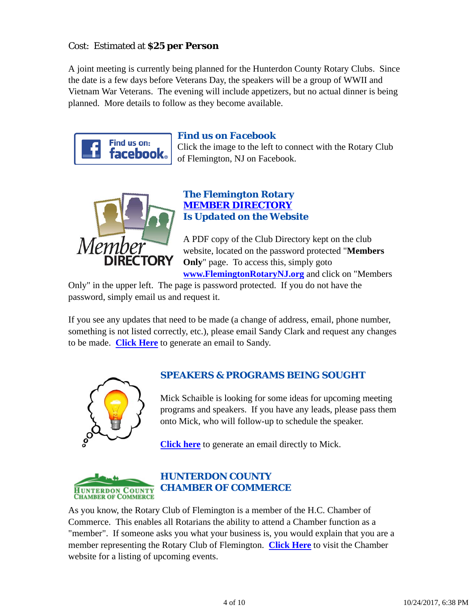# Cost: Estimated at **\$25 per Person**

A joint meeting is currently being planned for the Hunterdon County Rotary Clubs. Since the date is a few days before Veterans Day, the speakers will be a group of WWII and Vietnam War Veterans. The evening will include appetizers, but no actual dinner is being planned. More details to follow as they become available.



# *Find us on Facebook*

Click the image to the left to connect with the Rotary Club of Flemington, NJ on Facebook.



# *The Flemington Rotary MEMBER DIRECTORY Is Updated on the Website*

A PDF copy of the Club Directory kept on the club website, located on the password protected "**Members Only**" page. To access this, simply goto **www.FlemingtonRotaryNJ.org** and click on "Members

Only" in the upper left. The page is password protected. If you do not have the password, simply email us and request it.

If you see any updates that need to be made (a change of address, email, phone number, something is not listed correctly, etc.), please email Sandy Clark and request any changes to be made. **Click Here** to generate an email to Sandy.



# *SPEAKERS & PROGRAMS BEING SOUGHT*

Mick Schaible is looking for some ideas for upcoming meeting programs and speakers. If you have any leads, please pass them onto Mick, who will follow-up to schedule the speaker.

**Click here** to generate an email directly to Mick.



# *HUNTERDON COUNTY CHAMBER OF COMMERCE*

As you know, the Rotary Club of Flemington is a member of the H.C. Chamber of Commerce. This enables all Rotarians the ability to attend a Chamber function as a "member". If someone asks you what your business is, you would explain that you are a member representing the Rotary Club of Flemington. **Click Here** to visit the Chamber website for a listing of upcoming events.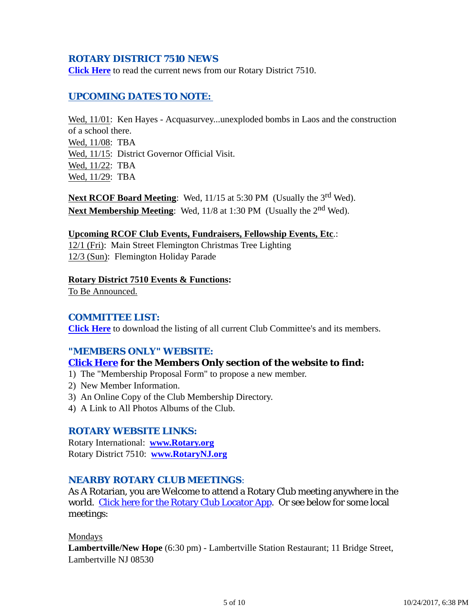### *ROTARY DISTRICT 7510 NEWS*

**Click Here** to read the current news from our Rotary District 7510.

### *UPCOMING DATES TO NOTE:*

Wed,  $11/01$ : Ken Hayes - Acquasurvey...unexploded bombs in Laos and the construction of a school there. Wed, 11/08: TBA Wed, 11/15: District Governor Official Visit. Wed, 11/22: TBA Wed, 11/29: TBA

Next RCOF Board Meeting: Wed, 11/15 at 5:30 PM (Usually the 3<sup>rd</sup> Wed). Next Membership Meeting: Wed, 11/8 at 1:30 PM (Usually the 2<sup>nd</sup> Wed).

#### **Upcoming RCOF Club Events, Fundraisers, Fellowship Events, Etc**.:

12/1 (Fri): Main Street Flemington Christmas Tree Lighting 12/3 (Sun): Flemington Holiday Parade

#### **Rotary District 7510 Events & Functions:**

To Be Announced.

#### *COMMITTEE LIST:*

**Click Here** to download the listing of all current Club Committee's and its members.

### *"MEMBERS ONLY" WEBSITE:*

#### **Click Here for the Members Only section of the website to find:**

- 1) The "Membership Proposal Form" to propose a new member.
- 2) New Member Information.
- 3) An Online Copy of the Club Membership Directory.
- 4) A Link to All Photos Albums of the Club.

#### *ROTARY WEBSITE LINKS:*

Rotary International: **www.Rotary.org** Rotary District 7510: **www.RotaryNJ.org**

#### *NEARBY ROTARY CLUB MEETINGS:*

As A Rotarian, you are Welcome to attend a Rotary Club meeting anywhere in the world. Click here for the Rotary Club Locator App. Or see below for some local meetings:

Mondays

**Lambertville/New Hope** (6:30 pm) - Lambertville Station Restaurant; 11 Bridge Street, Lambertville NJ 08530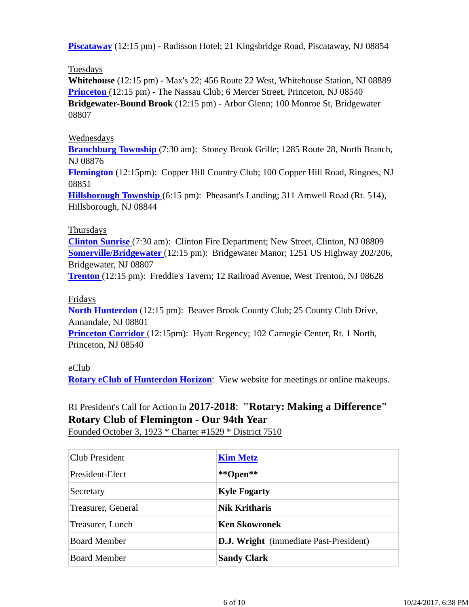**Piscataway** (12:15 pm) - Radisson Hotel; 21 Kingsbridge Road, Piscataway, NJ 08854

### Tuesdays

**Whitehouse** (12:15 pm) - Max's 22; 456 Route 22 West, Whitehouse Station, NJ 08889 **Princeton** (12:15 pm) - The Nassau Club; 6 Mercer Street, Princeton, NJ 08540 **Bridgewater-Bound Brook** (12:15 pm) - Arbor Glenn; 100 Monroe St, Bridgewater 08807

### Wednesdays

**Branchburg Township** (7:30 am): Stoney Brook Grille; 1285 Route 28, North Branch, NJ 08876

**Flemington** (12:15pm): Copper Hill Country Club; 100 Copper Hill Road, Ringoes, NJ 08851

**Hillsborough Township** (6:15 pm): Pheasant's Landing; 311 Amwell Road (Rt. 514), Hillsborough, NJ 08844

### Thursdays

**Clinton Sunrise** (7:30 am): Clinton Fire Department; New Street, Clinton, NJ 08809 **Somerville/Bridgewater** (12:15 pm): Bridgewater Manor; 1251 US Highway 202/206, Bridgewater, NJ 08807

**Trenton** (12:15 pm): Freddie's Tavern; 12 Railroad Avenue, West Trenton, NJ 08628

### Fridays

**North Hunterdon** (12:15 pm): Beaver Brook County Club; 25 County Club Drive, Annandale, NJ 08801 **Princeton Corridor** (12:15pm): Hyatt Regency; 102 Carnegie Center, Rt. 1 North,

Princeton, NJ 08540

### eClub

**Rotary eClub of Hunterdon Horizon**: View website for meetings or online makeups.

# RI President's Call for Action in **2017-2018**: **"Rotary: Making a Difference" Rotary Club of Flemington - Our 94th Year**

Founded October 3, 1923 \* Charter #1529 \* District 7510

| <b>Club President</b> | <b>Kim Metz</b>                               |
|-----------------------|-----------------------------------------------|
| President-Elect       | **Open**                                      |
| Secretary             | <b>Kyle Fogarty</b>                           |
| Treasurer, General    | <b>Nik Kritharis</b>                          |
| Treasurer, Lunch      | <b>Ken Skowronek</b>                          |
| <b>Board Member</b>   | <b>D.J. Wright</b> (immediate Past-President) |
| <b>Board Member</b>   | <b>Sandy Clark</b>                            |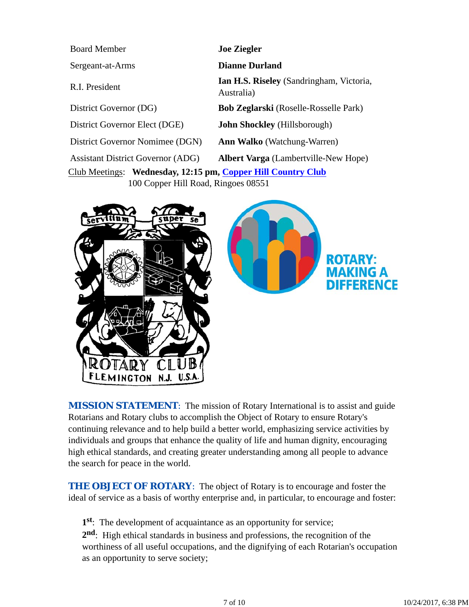| <b>Board Member</b>                                          | <b>Joe Ziegler</b>                                            |  |
|--------------------------------------------------------------|---------------------------------------------------------------|--|
| Sergeant-at-Arms                                             | <b>Dianne Durland</b>                                         |  |
| R.I. President                                               | <b>Ian H.S. Riseley</b> (Sandringham, Victoria,<br>Australia) |  |
| District Governor (DG)                                       | <b>Bob Zeglarski</b> (Roselle-Rosselle Park)                  |  |
| District Governor Elect (DGE)                                | <b>John Shockley</b> (Hillsborough)                           |  |
| District Governor Nomimee (DGN)                              | <b>Ann Walko</b> (Watchung-Warren)                            |  |
| <b>Assistant District Governor (ADG)</b>                     | <b>Albert Varga</b> (Lambertville-New Hope)                   |  |
| Club Meetings: Wednesday, 12:15 pm, Copper Hill Country Club |                                                               |  |

100 Copper Hill Road, Ringoes 08551





**MISSION STATEMENT:** The mission of Rotary International is to assist and guide Rotarians and Rotary clubs to accomplish the Object of Rotary to ensure Rotary's continuing relevance and to help build a better world, emphasizing service activities by individuals and groups that enhance the quality of life and human dignity, encouraging high ethical standards, and creating greater understanding among all people to advance the search for peace in the world.

**THE OBJECT OF ROTARY:** The object of Rotary is to encourage and foster the ideal of service as a basis of worthy enterprise and, in particular, to encourage and foster:

**1st**: The development of acquaintance as an opportunity for service; **2nd**: High ethical standards in business and professions, the recognition of the worthiness of all useful occupations, and the dignifying of each Rotarian's occupation as an opportunity to serve society;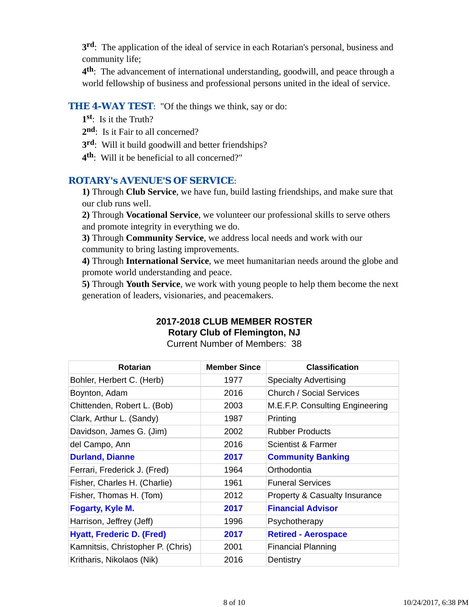**3rd**: The application of the ideal of service in each Rotarian's personal, business and community life;

**4th**: The advancement of international understanding, goodwill, and peace through a world fellowship of business and professional persons united in the ideal of service.

### **THE 4-WAY TEST:** "Of the things we think, say or do:

- **1st**: Is it the Truth?
- 2<sup>nd</sup>: Is it Fair to all concerned?
- **3rd**: Will it build goodwill and better friendships?
- **4th**: Will it be beneficial to all concerned?"

### *ROTARY's AVENUE'S OF SERVICE*:

**1)** Through **Club Service**, we have fun, build lasting friendships, and make sure that our club runs well.

**2)** Through **Vocational Service**, we volunteer our professional skills to serve others and promote integrity in everything we do.

**3)** Through **Community Service**, we address local needs and work with our community to bring lasting improvements.

**4)** Through **International Service**, we meet humanitarian needs around the globe and promote world understanding and peace.

**5)** Through **Youth Service**, we work with young people to help them become the next generation of leaders, visionaries, and peacemakers.

# **2017-2018 CLUB MEMBER ROSTER Rotary Club of Flemington, NJ**

Current Number of Members: 38

| <b>Rotarian</b>                   | <b>Member Since</b> | <b>Classification</b>                    |
|-----------------------------------|---------------------|------------------------------------------|
| Bohler, Herbert C. (Herb)         | 1977                | <b>Specialty Advertising</b>             |
| Boynton, Adam                     | 2016                | <b>Church / Social Services</b>          |
| Chittenden, Robert L. (Bob)       | 2003                | M.E.F.P. Consulting Engineering          |
| Clark, Arthur L. (Sandy)          | 1987                | Printing                                 |
| Davidson, James G. (Jim)          | 2002                | <b>Rubber Products</b>                   |
| del Campo, Ann                    | 2016                | Scientist & Farmer                       |
| <b>Durland, Dianne</b>            | 2017                | <b>Community Banking</b>                 |
| Ferrari, Frederick J. (Fred)      | 1964                | Orthodontia                              |
| Fisher, Charles H. (Charlie)      | 1961                | <b>Funeral Services</b>                  |
| Fisher, Thomas H. (Tom)           | 2012                | <b>Property &amp; Casualty Insurance</b> |
| <b>Fogarty, Kyle M.</b>           | 2017                | <b>Financial Advisor</b>                 |
| Harrison, Jeffrey (Jeff)          | 1996                | Psychotherapy                            |
| <b>Hyatt, Frederic D. (Fred)</b>  | 2017                | <b>Retired - Aerospace</b>               |
| Kamnitsis, Christopher P. (Chris) | 2001                | <b>Financial Planning</b>                |
| Kritharis, Nikolaos (Nik)         | 2016                | Dentistry                                |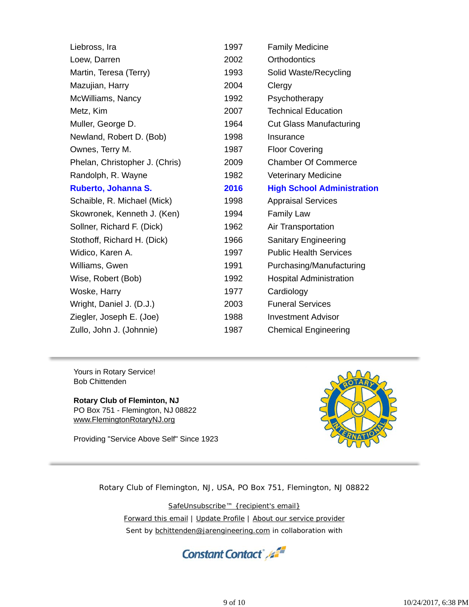| Liebross, Ira                  | 1997 | <b>Family Medicine</b>            |
|--------------------------------|------|-----------------------------------|
| Loew, Darren                   | 2002 | <b>Orthodontics</b>               |
| Martin, Teresa (Terry)         | 1993 | Solid Waste/Recycling             |
| Mazujian, Harry                | 2004 | Clergy                            |
| McWilliams, Nancy              | 1992 | Psychotherapy                     |
| Metz, Kim                      | 2007 | <b>Technical Education</b>        |
| Muller, George D.              | 1964 | <b>Cut Glass Manufacturing</b>    |
| Newland, Robert D. (Bob)       | 1998 | Insurance                         |
| Ownes, Terry M.                | 1987 | <b>Floor Covering</b>             |
| Phelan, Christopher J. (Chris) | 2009 | <b>Chamber Of Commerce</b>        |
| Randolph, R. Wayne             | 1982 | <b>Veterinary Medicine</b>        |
| Ruberto, Johanna S.            | 2016 | <b>High School Administration</b> |
| Schaible, R. Michael (Mick)    | 1998 | <b>Appraisal Services</b>         |
| Skowronek, Kenneth J. (Ken)    | 1994 | <b>Family Law</b>                 |
| Sollner, Richard F. (Dick)     | 1962 | Air Transportation                |
| Stothoff, Richard H. (Dick)    | 1966 | <b>Sanitary Engineering</b>       |
| Widico, Karen A.               | 1997 | <b>Public Health Services</b>     |
| Williams, Gwen                 | 1991 | Purchasing/Manufacturing          |
| Wise, Robert (Bob)             | 1992 | <b>Hospital Administration</b>    |
| Woske, Harry                   | 1977 | Cardiology                        |
| Wright, Daniel J. (D.J.)       | 2003 | <b>Funeral Services</b>           |
| Ziegler, Joseph E. (Joe)       | 1988 | <b>Investment Advisor</b>         |
| Zullo, John J. (Johnnie)       | 1987 | <b>Chemical Engineering</b>       |

Yours in Rotary Service! Bob Chittenden

**Rotary Club of Fleminton, NJ** PO Box 751 - Flemington, NJ 08822 www.FlemingtonRotaryNJ.org

Providing "Service Above Self" Since 1923



Rotary Club of Flemington, NJ, USA, PO Box 751, Flemington, NJ 08822

SafeUnsubscribe™ {recipient's email} Forward this email | Update Profile | About our service provider Sent by bchittenden@jarengineering.com in collaboration with